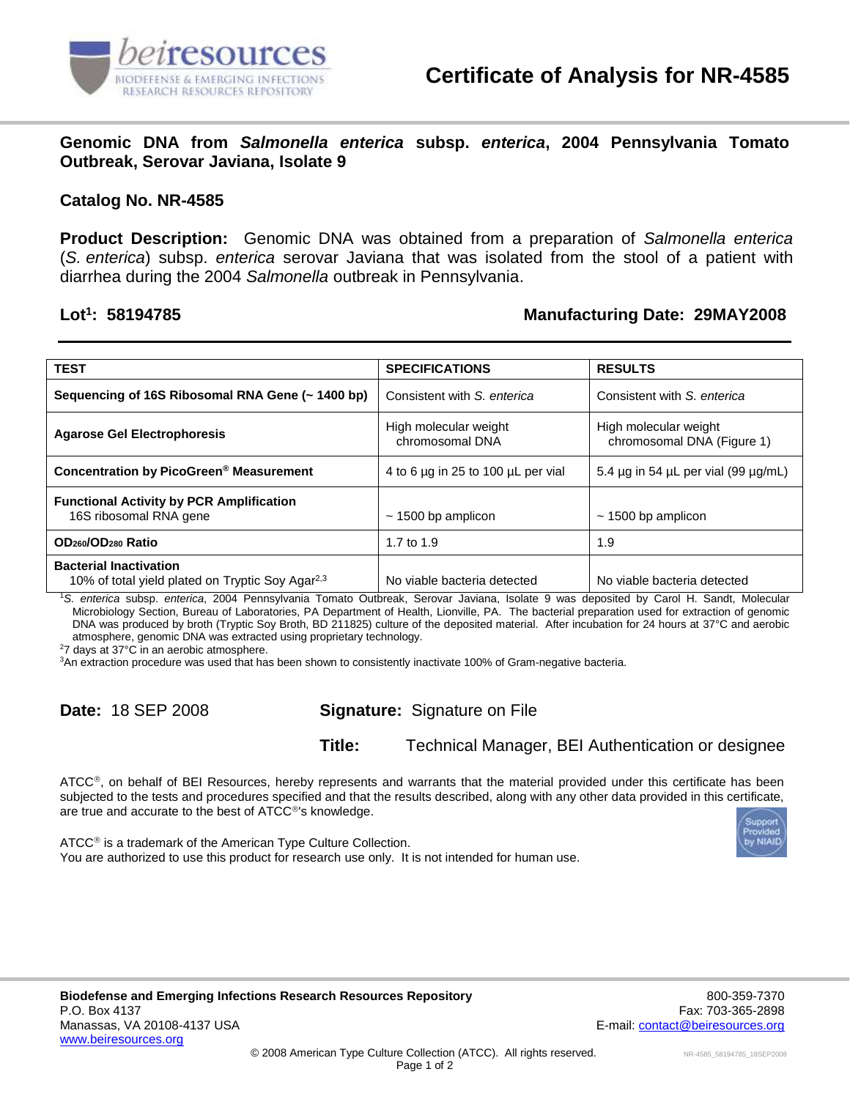

**Genomic DNA from** *Salmonella enterica* **subsp.** *enterica***, 2004 Pennsylvania Tomato Outbreak, Serovar Javiana, Isolate 9**

#### **Catalog No. NR-4585**

**Product Description:** Genomic DNA was obtained from a preparation of *Salmonella enterica* (*S. enterica*) subsp. *enterica* serovar Javiana that was isolated from the stool of a patient with diarrhea during the 2004 *Salmonella* outbreak in Pennsylvania.

### Lot<sup>1</sup>: 58194785

## **: 58194785 Manufacturing Date: 29MAY2008**

| <b>TEST</b>                                                                                   | <b>SPECIFICATIONS</b>                    | <b>RESULTS</b>                                      |
|-----------------------------------------------------------------------------------------------|------------------------------------------|-----------------------------------------------------|
|                                                                                               | Consistent with S. enterica              | Consistent with S. enterica                         |
| Sequencing of 16S Ribosomal RNA Gene (~ 1400 bp)                                              |                                          |                                                     |
| <b>Agarose Gel Electrophoresis</b>                                                            | High molecular weight<br>chromosomal DNA | High molecular weight<br>chromosomal DNA (Figure 1) |
| Concentration by PicoGreen <sup>®</sup> Measurement                                           | 4 to 6 µg in 25 to 100 µL per vial       | 5.4 $\mu$ g in 54 $\mu$ L per vial (99 $\mu$ g/mL)  |
| <b>Functional Activity by PCR Amplification</b>                                               |                                          |                                                     |
| 16S ribosomal RNA gene                                                                        | $\sim$ 1500 bp amplicon                  | $\sim$ 1500 bp amplicon                             |
| OD <sub>260</sub> /OD <sub>280</sub> Ratio                                                    | 1.7 to 1.9                               | 1.9                                                 |
| <b>Bacterial Inactivation</b><br>10% of total yield plated on Tryptic Soy Agar <sup>2,3</sup> | No viable bacteria detected              | No viable bacteria detected                         |

<sup>1</sup>*S. enterica* subsp. *enterica*, 2004 Pennsylvania Tomato Outbreak, Serovar Javiana, Isolate 9 was deposited by Carol H. Sandt, Molecular Microbiology Section, Bureau of Laboratories, PA Department of Health, Lionville, PA. The bacterial preparation used for extraction of genomic DNA was produced by broth (Tryptic Soy Broth, BD 211825) culture of the deposited material. After incubation for 24 hours at 37°C and aerobic atmosphere, genomic DNA was extracted using proprietary technology.

<sup>2</sup>7 days at 37°C in an aerobic atmosphere.

<sup>3</sup>An extraction procedure was used that has been shown to consistently inactivate 100% of Gram-negative bacteria.

## **Date:** 18 SEP 2008 **Signature:** Signature on File

**Title:** Technical Manager, BEI Authentication or designee

ATCC®, on behalf of BEI Resources, hereby represents and warrants that the material provided under this certificate has been subjected to the tests and procedures specified and that the results described, along with any other data provided in this certificate, are true and accurate to the best of ATCC®'s knowledge.

 $ATCC<sup>®</sup>$  is a trademark of the American Type Culture Collection. You are authorized to use this product for research use only. It is not intended for human use.